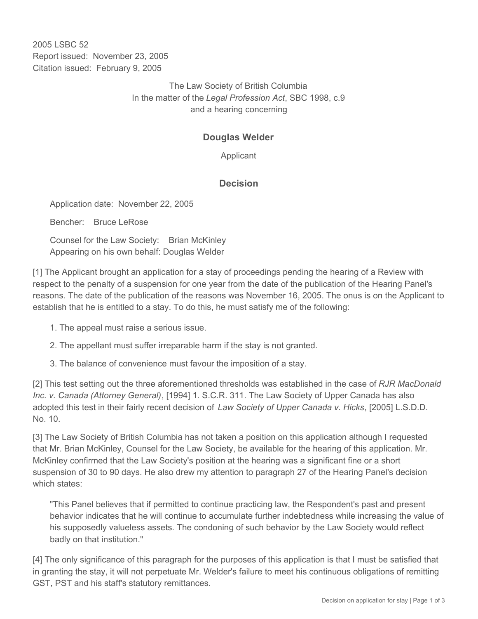2005 LSBC 52 Report issued: November 23, 2005 Citation issued: February 9, 2005

> The Law Society of British Columbia In the matter of the *Legal Profession Act*, SBC 1998, c.9 and a hearing concerning

# **Douglas Welder**

Applicant

## **Decision**

Application date: November 22, 2005

Bencher: Bruce LeRose

Counsel for the Law Society: Brian McKinley Appearing on his own behalf: Douglas Welder

[1] The Applicant brought an application for a stay of proceedings pending the hearing of a Review with respect to the penalty of a suspension for one year from the date of the publication of the Hearing Panel's reasons. The date of the publication of the reasons was November 16, 2005. The onus is on the Applicant to establish that he is entitled to a stay. To do this, he must satisfy me of the following:

- 1. The appeal must raise a serious issue.
- 2. The appellant must suffer irreparable harm if the stay is not granted.
- 3. The balance of convenience must favour the imposition of a stay.

[2] This test setting out the three aforementioned thresholds was established in the case of *RJR MacDonald Inc. v. Canada (Attorney General)*, [1994] 1. S.C.R. 311. The Law Society of Upper Canada has also adopted this test in their fairly recent decision of *Law Society of Upper Canada v. Hicks*, [2005] L.S.D.D. No. 10.

[3] The Law Society of British Columbia has not taken a position on this application although I requested that Mr. Brian McKinley, Counsel for the Law Society, be available for the hearing of this application. Mr. McKinley confirmed that the Law Society's position at the hearing was a significant fine or a short suspension of 30 to 90 days. He also drew my attention to paragraph 27 of the Hearing Panel's decision which states:

"This Panel believes that if permitted to continue practicing law, the Respondent's past and present behavior indicates that he will continue to accumulate further indebtedness while increasing the value of his supposedly valueless assets. The condoning of such behavior by the Law Society would reflect badly on that institution."

[4] The only significance of this paragraph for the purposes of this application is that I must be satisfied that in granting the stay, it will not perpetuate Mr. Welder's failure to meet his continuous obligations of remitting GST, PST and his staff's statutory remittances.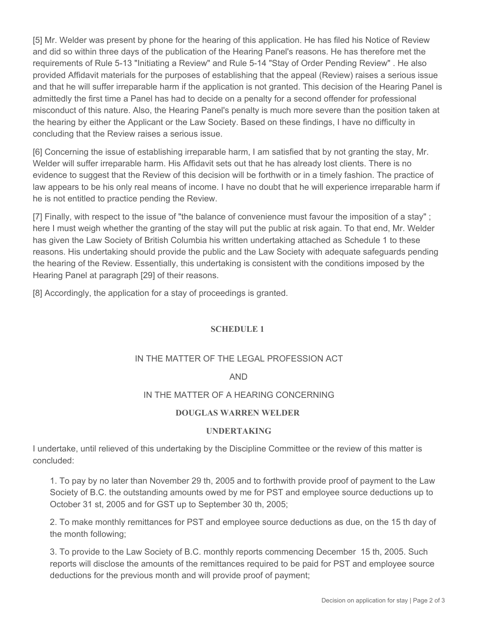[5] Mr. Welder was present by phone for the hearing of this application. He has filed his Notice of Review and did so within three days of the publication of the Hearing Panel's reasons. He has therefore met the requirements of Rule 5-13 "Initiating a Review" and Rule 5-14 "Stay of Order Pending Review" . He also provided Affidavit materials for the purposes of establishing that the appeal (Review) raises a serious issue and that he will suffer irreparable harm if the application is not granted. This decision of the Hearing Panel is admittedly the first time a Panel has had to decide on a penalty for a second offender for professional misconduct of this nature. Also, the Hearing Panel's penalty is much more severe than the position taken at the hearing by either the Applicant or the Law Society. Based on these findings, I have no difficulty in concluding that the Review raises a serious issue.

[6] Concerning the issue of establishing irreparable harm, I am satisfied that by not granting the stay, Mr. Welder will suffer irreparable harm. His Affidavit sets out that he has already lost clients. There is no evidence to suggest that the Review of this decision will be forthwith or in a timely fashion. The practice of law appears to be his only real means of income. I have no doubt that he will experience irreparable harm if he is not entitled to practice pending the Review.

[7] Finally, with respect to the issue of "the balance of convenience must favour the imposition of a stay" ; here I must weigh whether the granting of the stay will put the public at risk again. To that end, Mr. Welder has given the Law Society of British Columbia his written undertaking attached as Schedule 1 to these reasons. His undertaking should provide the public and the Law Society with adequate safeguards pending the hearing of the Review. Essentially, this undertaking is consistent with the conditions imposed by the Hearing Panel at paragraph [29] of their reasons.

[8] Accordingly, the application for a stay of proceedings is granted.

#### **SCHEDULE 1**

### IN THE MATTER OF THE LEGAL PROFESSION ACT

#### AND

#### IN THE MATTER OF A HEARING CONCERNING

#### **DOUGLAS WARREN WELDER**

#### **UNDERTAKING**

I undertake, until relieved of this undertaking by the Discipline Committee or the review of this matter is concluded:

1. To pay by no later than November 29 th, 2005 and to forthwith provide proof of payment to the Law Society of B.C. the outstanding amounts owed by me for PST and employee source deductions up to October 31 st, 2005 and for GST up to September 30 th, 2005;

2. To make monthly remittances for PST and employee source deductions as due, on the 15 th day of the month following;

3. To provide to the Law Society of B.C. monthly reports commencing December 15 th, 2005. Such reports will disclose the amounts of the remittances required to be paid for PST and employee source deductions for the previous month and will provide proof of payment;